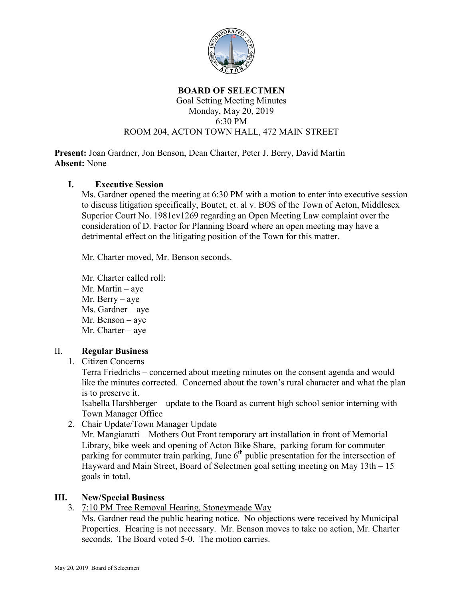

#### **BOARD OF SELECTMEN** Goal Setting Meeting Minutes Monday, May 20, 2019 6:30 PM ROOM 204, ACTON TOWN HALL, 472 MAIN STREET

**Present:** Joan Gardner, Jon Benson, Dean Charter, Peter J. Berry, David Martin **Absent:** None

## **I. Executive Session**

Ms. Gardner opened the meeting at 6:30 PM with a motion to enter into executive session to discuss litigation specifically, Boutet, et. al v. BOS of the Town of Acton, Middlesex Superior Court No. 1981cv1269 regarding an Open Meeting Law complaint over the consideration of D. Factor for Planning Board where an open meeting may have a detrimental effect on the litigating position of the Town for this matter.

Mr. Charter moved, Mr. Benson seconds.

Mr. Charter called roll: Mr. Martin – aye Mr. Berry – aye Ms. Gardner – aye Mr. Benson – aye Mr. Charter – aye

### II. **Regular Business**

1. Citizen Concerns

Terra Friedrichs – concerned about meeting minutes on the consent agenda and would like the minutes corrected. Concerned about the town's rural character and what the plan is to preserve it.

Isabella Harshberger – update to the Board as current high school senior interning with Town Manager Office

2. Chair Update/Town Manager Update

Mr. Mangiaratti – Mothers Out Front temporary art installation in front of Memorial Library, bike week and opening of Acton Bike Share, parking forum for commuter parking for commuter train parking, June  $6<sup>th</sup>$  public presentation for the intersection of Hayward and Main Street, Board of Selectmen goal setting meeting on May 13th – 15 goals in total.

### **III. New/Special Business**

3. 7:10 PM Tree Removal Hearing, Stoneymeade Way

Ms. Gardner read the public hearing notice. No objections were received by Municipal Properties. Hearing is not necessary. Mr. Benson moves to take no action, Mr. Charter seconds. The Board voted 5-0. The motion carries.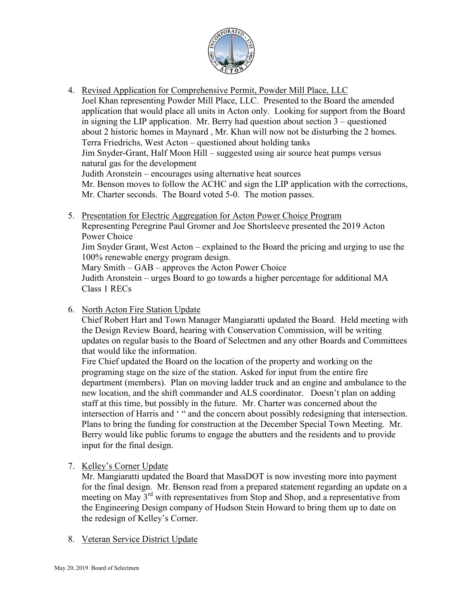

- 4. Revised Application for Comprehensive Permit, Powder Mill Place, LLC Joel Khan representing Powder Mill Place, LLC. Presented to the Board the amended application that would place all units in Acton only. Looking for support from the Board in signing the LIP application. Mr. Berry had question about section  $3$  – questioned about 2 historic homes in Maynard , Mr. Khan will now not be disturbing the 2 homes. Terra Friedrichs, West Acton – questioned about holding tanks Jim Snyder-Grant, Half Moon Hill – suggested using air source heat pumps versus natural gas for the development Judith Aronstein – encourages using alternative heat sources Mr. Benson moves to follow the ACHC and sign the LIP application with the corrections, Mr. Charter seconds. The Board voted 5-0. The motion passes.
- 5. Presentation for Electric Aggregation for Acton Power Choice Program

Representing Peregrine Paul Gromer and Joe Shortsleeve presented the 2019 Acton Power Choice

Jim Snyder Grant, West Acton – explained to the Board the pricing and urging to use the 100% renewable energy program design.

Mary Smith – GAB – approves the Acton Power Choice

Judith Aronstein – urges Board to go towards a higher percentage for additional MA Class 1 RECs

6. North Acton Fire Station Update

Chief Robert Hart and Town Manager Mangiaratti updated the Board. Held meeting with the Design Review Board, hearing with Conservation Commission, will be writing updates on regular basis to the Board of Selectmen and any other Boards and Committees that would like the information.

Fire Chief updated the Board on the location of the property and working on the programing stage on the size of the station. Asked for input from the entire fire department (members). Plan on moving ladder truck and an engine and ambulance to the new location, and the shift commander and ALS coordinator. Doesn't plan on adding staff at this time, but possibly in the future. Mr. Charter was concerned about the intersection of Harris and ' " and the concern about possibly redesigning that intersection. Plans to bring the funding for construction at the December Special Town Meeting. Mr. Berry would like public forums to engage the abutters and the residents and to provide input for the final design.

7. Kelley's Corner Update

Mr. Mangiaratti updated the Board that MassDOT is now investing more into payment for the final design. Mr. Benson read from a prepared statement regarding an update on a meeting on May 3<sup>rd</sup> with representatives from Stop and Shop, and a representative from the Engineering Design company of Hudson Stein Howard to bring them up to date on the redesign of Kelley's Corner.

8. Veteran Service District Update